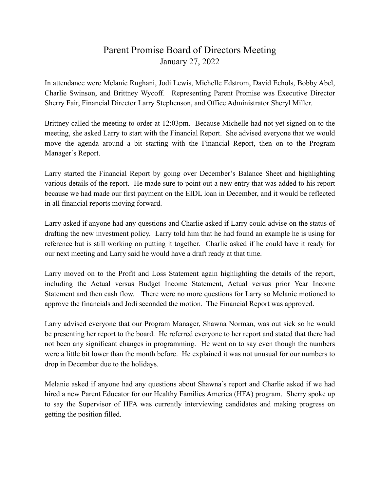## Parent Promise Board of Directors Meeting January 27, 2022

In attendance were Melanie Rughani, Jodi Lewis, Michelle Edstrom, David Echols, Bobby Abel, Charlie Swinson, and Brittney Wycoff. Representing Parent Promise was Executive Director Sherry Fair, Financial Director Larry Stephenson, and Office Administrator Sheryl Miller.

Brittney called the meeting to order at 12:03pm. Because Michelle had not yet signed on to the meeting, she asked Larry to start with the Financial Report. She advised everyone that we would move the agenda around a bit starting with the Financial Report, then on to the Program Manager's Report.

Larry started the Financial Report by going over December's Balance Sheet and highlighting various details of the report. He made sure to point out a new entry that was added to his report because we had made our first payment on the EIDL loan in December, and it would be reflected in all financial reports moving forward.

Larry asked if anyone had any questions and Charlie asked if Larry could advise on the status of drafting the new investment policy. Larry told him that he had found an example he is using for reference but is still working on putting it together. Charlie asked if he could have it ready for our next meeting and Larry said he would have a draft ready at that time.

Larry moved on to the Profit and Loss Statement again highlighting the details of the report, including the Actual versus Budget Income Statement, Actual versus prior Year Income Statement and then cash flow. There were no more questions for Larry so Melanie motioned to approve the financials and Jodi seconded the motion. The Financial Report was approved.

Larry advised everyone that our Program Manager, Shawna Norman, was out sick so he would be presenting her report to the board. He referred everyone to her report and stated that there had not been any significant changes in programming. He went on to say even though the numbers were a little bit lower than the month before. He explained it was not unusual for our numbers to drop in December due to the holidays.

Melanie asked if anyone had any questions about Shawna's report and Charlie asked if we had hired a new Parent Educator for our Healthy Families America (HFA) program. Sherry spoke up to say the Supervisor of HFA was currently interviewing candidates and making progress on getting the position filled.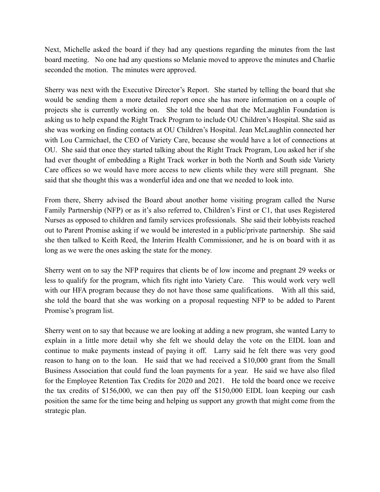Next, Michelle asked the board if they had any questions regarding the minutes from the last board meeting. No one had any questions so Melanie moved to approve the minutes and Charlie seconded the motion. The minutes were approved.

Sherry was next with the Executive Director's Report. She started by telling the board that she would be sending them a more detailed report once she has more information on a couple of projects she is currently working on. She told the board that the McLaughlin Foundation is asking us to help expand the Right Track Program to include OU Children's Hospital. She said as she was working on finding contacts at OU Children's Hospital. Jean McLaughlin connected her with Lou Carmichael, the CEO of Variety Care, because she would have a lot of connections at OU. She said that once they started talking about the Right Track Program, Lou asked her if she had ever thought of embedding a Right Track worker in both the North and South side Variety Care offices so we would have more access to new clients while they were still pregnant. She said that she thought this was a wonderful idea and one that we needed to look into.

From there, Sherry advised the Board about another home visiting program called the Nurse Family Partnership (NFP) or as it's also referred to, Children's First or C1, that uses Registered Nurses as opposed to children and family services professionals. She said their lobbyists reached out to Parent Promise asking if we would be interested in a public/private partnership. She said she then talked to Keith Reed, the Interim Health Commissioner, and he is on board with it as long as we were the ones asking the state for the money.

Sherry went on to say the NFP requires that clients be of low income and pregnant 29 weeks or less to qualify for the program, which fits right into Variety Care. This would work very well with our HFA program because they do not have those same qualifications. With all this said, she told the board that she was working on a proposal requesting NFP to be added to Parent Promise's program list.

Sherry went on to say that because we are looking at adding a new program, she wanted Larry to explain in a little more detail why she felt we should delay the vote on the EIDL loan and continue to make payments instead of paying it off. Larry said he felt there was very good reason to hang on to the loan. He said that we had received a \$10,000 grant from the Small Business Association that could fund the loan payments for a year. He said we have also filed for the Employee Retention Tax Credits for 2020 and 2021. He told the board once we receive the tax credits of \$156,000, we can then pay off the \$150,000 EIDL loan keeping our cash position the same for the time being and helping us support any growth that might come from the strategic plan.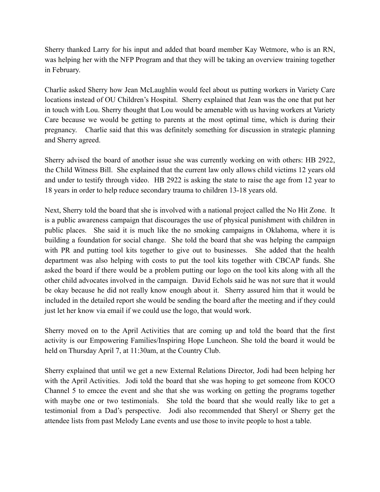Sherry thanked Larry for his input and added that board member Kay Wetmore, who is an RN, was helping her with the NFP Program and that they will be taking an overview training together in February.

Charlie asked Sherry how Jean McLaughlin would feel about us putting workers in Variety Care locations instead of OU Children's Hospital. Sherry explained that Jean was the one that put her in touch with Lou. Sherry thought that Lou would be amenable with us having workers at Variety Care because we would be getting to parents at the most optimal time, which is during their pregnancy. Charlie said that this was definitely something for discussion in strategic planning and Sherry agreed.

Sherry advised the board of another issue she was currently working on with others: HB 2922, the Child Witness Bill. She explained that the current law only allows child victims 12 years old and under to testify through video. HB 2922 is asking the state to raise the age from 12 year to 18 years in order to help reduce secondary trauma to children 13-18 years old.

Next, Sherry told the board that she is involved with a national project called the No Hit Zone. It is a public awareness campaign that discourages the use of physical punishment with children in public places. She said it is much like the no smoking campaigns in Oklahoma, where it is building a foundation for social change. She told the board that she was helping the campaign with PR and putting tool kits together to give out to businesses. She added that the health department was also helping with costs to put the tool kits together with CBCAP funds. She asked the board if there would be a problem putting our logo on the tool kits along with all the other child advocates involved in the campaign. David Echols said he was not sure that it would be okay because he did not really know enough about it. Sherry assured him that it would be included in the detailed report she would be sending the board after the meeting and if they could just let her know via email if we could use the logo, that would work.

Sherry moved on to the April Activities that are coming up and told the board that the first activity is our Empowering Families/Inspiring Hope Luncheon. She told the board it would be held on Thursday April 7, at 11:30am, at the Country Club.

Sherry explained that until we get a new External Relations Director, Jodi had been helping her with the April Activities. Jodi told the board that she was hoping to get someone from KOCO Channel 5 to emcee the event and she that she was working on getting the programs together with maybe one or two testimonials. She told the board that she would really like to get a testimonial from a Dad's perspective. Jodi also recommended that Sheryl or Sherry get the attendee lists from past Melody Lane events and use those to invite people to host a table.